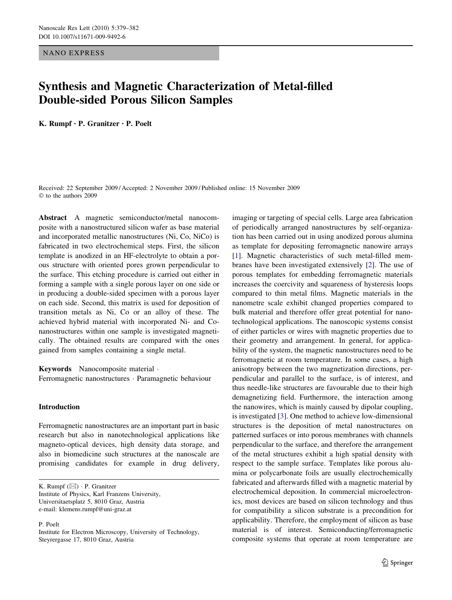NANO EXPRESS

# Synthesis and Magnetic Characterization of Metal-filled Double-sided Porous Silicon Samples

K. Rumpf • P. Granitzer • P. Poelt

Received: 22 September 2009 / Accepted: 2 November 2009 / Published online: 15 November 2009  $©$  to the authors 2009

Abstract A magnetic semiconductor/metal nanocomposite with a nanostructured silicon wafer as base material and incorporated metallic nanostructures (Ni, Co, NiCo) is fabricated in two electrochemical steps. First, the silicon template is anodized in an HF-electrolyte to obtain a porous structure with oriented pores grown perpendicular to the surface. This etching procedure is carried out either in forming a sample with a single porous layer on one side or in producing a double-sided specimen with a porous layer on each side. Second, this matrix is used for deposition of transition metals as Ni, Co or an alloy of these. The achieved hybrid material with incorporated Ni- and Conanostructures within one sample is investigated magnetically. The obtained results are compared with the ones gained from samples containing a single metal.

Keywords Nanocomposite material · Ferromagnetic nanostructures · Paramagnetic behaviour

## Introduction

Ferromagnetic nanostructures are an important part in basic research but also in nanotechnological applications like magneto-optical devices, high density data storage, and also in biomedicine such structures at the nanoscale are promising candidates for example in drug delivery,

K. Rumpf  $(\boxtimes)$  · P. Granitzer Institute of Physics, Karl Franzens University, Universitaetsplatz 5, 8010 Graz, Austria e-mail: klemens.rumpf@uni-graz.at

P. Poelt

imaging or targeting of special cells. Large area fabrication of periodically arranged nanostructures by self-organization has been carried out in using anodized porous alumina as template for depositing ferromagnetic nanowire arrays [\[1](#page-3-0)]. Magnetic characteristics of such metal-filled membranes have been investigated extensively [\[2](#page-3-0)]. The use of porous templates for embedding ferromagnetic materials increases the coercivity and squareness of hysteresis loops compared to thin metal films. Magnetic materials in the nanometre scale exhibit changed properties compared to bulk material and therefore offer great potential for nanotechnological applications. The nanoscopic systems consist of either particles or wires with magnetic properties due to their geometry and arrangement. In general, for applicability of the system, the magnetic nanostructures need to be ferromagnetic at room temperature. In some cases, a high anisotropy between the two magnetization directions, perpendicular and parallel to the surface, is of interest, and thus needle-like structures are favourable due to their high demagnetizing field. Furthermore, the interaction among the nanowires, which is mainly caused by dipolar coupling, is investigated [\[3](#page-3-0)]. One method to achieve low-dimensional structures is the deposition of metal nanostructures on patterned surfaces or into porous membranes with channels perpendicular to the surface, and therefore the arrangement of the metal structures exhibit a high spatial density with respect to the sample surface. Templates like porous alumina or polycarbonate foils are usually electrochemically fabricated and afterwards filled with a magnetic material by electrochemical deposition. In commercial microelectronics, most devices are based on silicon technology and thus for compatibility a silicon substrate is a precondition for applicability. Therefore, the employment of silicon as base material is of interest. Semiconducting/ferromagnetic composite systems that operate at room temperature are

Institute for Electron Microscopy, University of Technology, Steyrergasse 17, 8010 Graz, Austria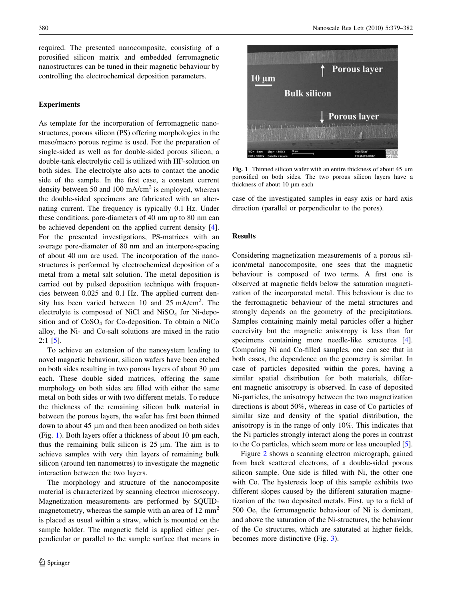required. The presented nanocomposite, consisting of a porosified silicon matrix and embedded ferromagnetic nanostructures can be tuned in their magnetic behaviour by controlling the electrochemical deposition parameters.

### Experiments

As template for the incorporation of ferromagnetic nanostructures, porous silicon (PS) offering morphologies in the meso/macro porous regime is used. For the preparation of single-sided as well as for double-sided porous silicon, a double-tank electrolytic cell is utilized with HF-solution on both sides. The electrolyte also acts to contact the anodic side of the sample. In the first case, a constant current density between 50 and 100 mA/ $\text{cm}^2$  is employed, whereas the double-sided specimens are fabricated with an alternating current. The frequency is typically 0.1 Hz. Under these conditions, pore-diameters of 40 nm up to 80 nm can be achieved dependent on the applied current density [\[4](#page-3-0)]. For the presented investigations, PS-matrices with an average pore-diameter of 80 nm and an interpore-spacing of about 40 nm are used. The incorporation of the nanostructures is performed by electrochemical deposition of a metal from a metal salt solution. The metal deposition is carried out by pulsed deposition technique with frequencies between 0.025 and 0.1 Hz. The applied current density has been varied between 10 and 25 mA/cm<sup>2</sup>. The electrolyte is composed of NiCl and NiSO<sub>4</sub> for Ni-deposition and of  $CoSO<sub>4</sub>$  for Co-deposition. To obtain a NiCo alloy, the Ni- and Co-salt solutions are mixed in the ratio 2:1 [[5\]](#page-3-0).

To achieve an extension of the nanosystem leading to novel magnetic behaviour, silicon wafers have been etched on both sides resulting in two porous layers of about  $30 \mu m$ each. These double sided matrices, offering the same morphology on both sides are filled with either the same metal on both sides or with two different metals. To reduce the thickness of the remaining silicon bulk material in between the porous layers, the wafer has first been thinned down to about 45 µm and then been anodized on both sides (Fig. 1). Both layers offer a thickness of about 10  $\mu$ m each, thus the remaining bulk silicon is  $25 \mu m$ . The aim is to achieve samples with very thin layers of remaining bulk silicon (around ten nanometres) to investigate the magnetic interaction between the two layers.

The morphology and structure of the nanocomposite material is characterized by scanning electron microscopy. Magnetization measurements are performed by SQUIDmagnetometry, whereas the sample with an area of  $12 \text{ mm}^2$ is placed as usual within a straw, which is mounted on the sample holder. The magnetic field is applied either perpendicular or parallel to the sample surface that means in



Fig. 1 Thinned silicon wafer with an entire thickness of about  $45 \mu m$ porosified on both sides. The two porous silicon layers have a thickness of about 10 µm each

case of the investigated samples in easy axis or hard axis direction (parallel or perpendicular to the pores).

#### Results

Considering magnetization measurements of a porous silicon/metal nanocomposite, one sees that the magnetic behaviour is composed of two terms. A first one is observed at magnetic fields below the saturation magnetization of the incorporated metal. This behaviour is due to the ferromagnetic behaviour of the metal structures and strongly depends on the geometry of the precipitations. Samples containing mainly metal particles offer a higher coercivity but the magnetic anisotropy is less than for specimens containing more needle-like structures [\[4](#page-3-0)]. Comparing Ni and Co-filled samples, one can see that in both cases, the dependence on the geometry is similar. In case of particles deposited within the pores, having a similar spatial distribution for both materials, different magnetic anisotropy is observed. In case of deposited Ni-particles, the anisotropy between the two magnetization directions is about 50%, whereas in case of Co particles of similar size and density of the spatial distribution, the anisotropy is in the range of only 10%. This indicates that the Ni particles strongly interact along the pores in contrast to the Co particles, which seem more or less uncoupled [\[5](#page-3-0)].

Figure [2](#page-2-0) shows a scanning electron micrograph, gained from back scattered electrons, of a double-sided porous silicon sample. One side is filled with Ni, the other one with Co. The hysteresis loop of this sample exhibits two different slopes caused by the different saturation magnetization of the two deposited metals. First, up to a field of 500 Oe, the ferromagnetic behaviour of Ni is dominant, and above the saturation of the Ni-structures, the behaviour of the Co structures, which are saturated at higher fields, becomes more distinctive (Fig. [3\)](#page-2-0).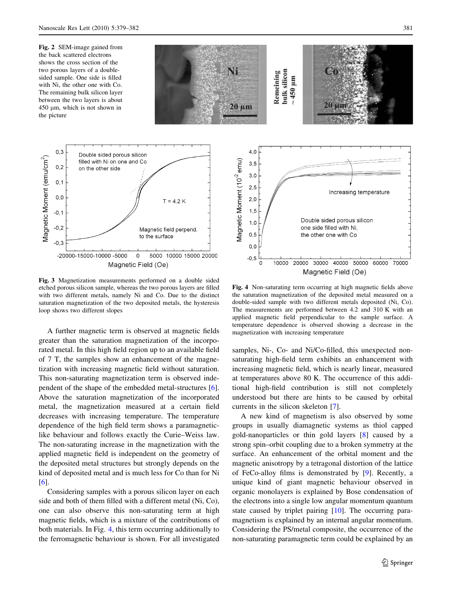<span id="page-2-0"></span>Fig. 2 SEM-image gained from the back scattered electrons shows the cross section of the two porous layers of a doublesided sample. One side is filled with Ni, the other one with Co. The remaining bulk silicon layer between the two layers is about  $450 \mu m$ , which is not shown in the picture



Fig. 3 Magnetization measurements performed on a double sided etched porous silicon sample, whereas the two porous layers are filled with two different metals, namely Ni and Co. Due to the distinct saturation magnetization of the two deposited metals, the hysteresis loop shows two different slopes

A further magnetic term is observed at magnetic fields greater than the saturation magnetization of the incorporated metal. In this high field region up to an available field of 7 T, the samples show an enhancement of the magnetization with increasing magnetic field without saturation. This non-saturating magnetization term is observed independent of the shape of the embedded metal-structures [\[6](#page-3-0)]. Above the saturation magnetization of the incorporated metal, the magnetization measured at a certain field decreases with increasing temperature. The temperature dependence of the high field term shows a paramagneticlike behaviour and follows exactly the Curie–Weiss law. The non-saturating increase in the magnetization with the applied magnetic field is independent on the geometry of the deposited metal structures but strongly depends on the kind of deposited metal and is much less for Co than for Ni [\[6](#page-3-0)].

Considering samples with a porous silicon layer on each side and both of them filled with a different metal (Ni, Co), one can also observe this non-saturating term at high magnetic fields, which is a mixture of the contributions of both materials. In Fig. 4, this term occurring additionally to the ferromagnetic behaviour is shown. For all investigated



Fig. 4 Non-saturating term occurring at high magnetic fields above the saturation magnetization of the deposited metal measured on a double-sided sample with two different metals deposited (Ni, Co). The measurements are performed between 4.2 and 310 K with an applied magnetic field perpendicular to the sample surface. A temperature dependence is observed showing a decrease in the magnetization with increasing temperature

samples, Ni-, Co- and Ni/Co-filled, this unexpected nonsaturating high-field term exhibits an enhancement with increasing magnetic field, which is nearly linear, measured at temperatures above 80 K. The occurrence of this additional high-field contribution is still not completely understood but there are hints to be caused by orbital currents in the silicon skeleton [\[7](#page-3-0)].

A new kind of magnetism is also observed by some groups in usually diamagnetic systems as thiol capped gold-nanoparticles or thin gold layers [[8\]](#page-3-0) caused by a strong spin–orbit coupling due to a broken symmetry at the surface. An enhancement of the orbital moment and the magnetic anisotropy by a tetragonal distortion of the lattice of FeCo-alloy films is demonstrated by [\[9](#page-3-0)]. Recently, a unique kind of giant magnetic behaviour observed in organic monolayers is explained by Bose condensation of the electrons into a single low angular momentum quantum state caused by triplet pairing [\[10](#page-3-0)]. The occurring paramagnetism is explained by an internal angular momentum. Considering the PS/metal composite, the occurrence of the non-saturating paramagnetic term could be explained by an